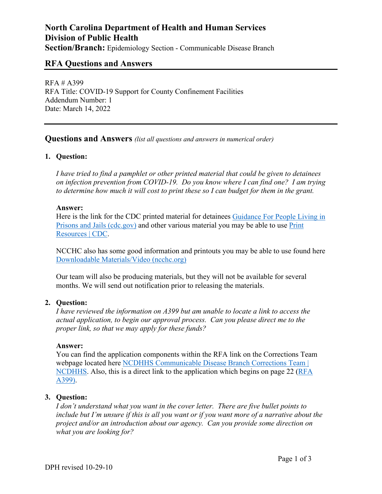# **North Carolina Department of Health and Human Services Division of Public Health**

**Section/Branch:** Epidemiology Section - Communicable Disease Branch

# **RFA Questions and Answers**

RFA # A399 RFA Title: COVID-19 Support for County Confinement Facilities Addendum Number: 1 Date: March 14, 2022

# **Questions and Answers** *(list all questions and answers in numerical order)*

# **1. Question:**

*I have tried to find a pamphlet or other printed material that could be given to detainees on infection prevention from COVID-19. Do you know where I can find one? I am trying to determine how much it will cost to print these so I can budget for them in the grant.*

#### **Answer:**

Here is the link for the CDC printed material for detainees [Guidance For People Living in](https://urldefense.com/v3/__https:/www.cdc.gov/coronavirus/2019-ncov/downloads/needs-extra-precautions/For-People-Living-in-Prisons-and-Jails.pdf__;!!HYmSToo!Ixowt1I602vF9FXu4R1BZwB7yZJzXFVxPFNjYKLvnz2QFrOTmS9M2JtEY1_nJwX_uXLPMn7HrETp$)  [Prisons and Jails \(cdc.gov\)](https://urldefense.com/v3/__https:/www.cdc.gov/coronavirus/2019-ncov/downloads/needs-extra-precautions/For-People-Living-in-Prisons-and-Jails.pdf__;!!HYmSToo!Ixowt1I602vF9FXu4R1BZwB7yZJzXFVxPFNjYKLvnz2QFrOTmS9M2JtEY1_nJwX_uXLPMn7HrETp$) and other various material you may be able to use [Print](https://urldefense.com/v3/__https:/www.cdc.gov/coronavirus/2019-ncov/communication/print-resources.html?Sort=Date*3A*3Adesc__;JSU!!HYmSToo!Ixowt1I602vF9FXu4R1BZwB7yZJzXFVxPFNjYKLvnz2QFrOTmS9M2JtEY1_nJwX_uXLPMhulY2W7$)  [Resources | CDC.](https://urldefense.com/v3/__https:/www.cdc.gov/coronavirus/2019-ncov/communication/print-resources.html?Sort=Date*3A*3Adesc__;JSU!!HYmSToo!Ixowt1I602vF9FXu4R1BZwB7yZJzXFVxPFNjYKLvnz2QFrOTmS9M2JtEY1_nJwX_uXLPMhulY2W7$)

NCCHC also has some good information and printouts you may be able to use found here [Downloadable Materials/Video \(ncchc.org\)](https://urldefense.com/v3/__https:/www.ncchc.org/downloadable-materials__;!!HYmSToo!Ixowt1I602vF9FXu4R1BZwB7yZJzXFVxPFNjYKLvnz2QFrOTmS9M2JtEY1_nJwX_uXLPMhnyof4L$)

Our team will also be producing materials, but they will not be available for several months. We will send out notification prior to releasing the materials.

# **2. Question:**

*I have reviewed the information on A399 but am unable to locate a link to access the actual application, to begin our approval process. Can you please direct me to the proper link, so that we may apply for these funds?* 

## **Answer:**

You can find the application components within the RFA link on the Corrections Team webpage located here NCDHHS Communicable Disease Branch Corrections Team | [NCDHHS.](https://www.ncdhhs.gov/divisions/public-health/ncdhhs-communicable-disease-branch-corrections-team) Also, this is a direct link to the application which begins on page 22 [\(RFA](https://www.ncdhhs.gov/media/14637/open)  [A399\)](https://www.ncdhhs.gov/media/14637/open).

## **3. Question:**

*I don't understand what you want in the cover letter. There are five bullet points to include but I'm unsure if this is all you want or if you want more of a narrative about the project and/or an introduction about our agency. Can you provide some direction on what you are looking for?*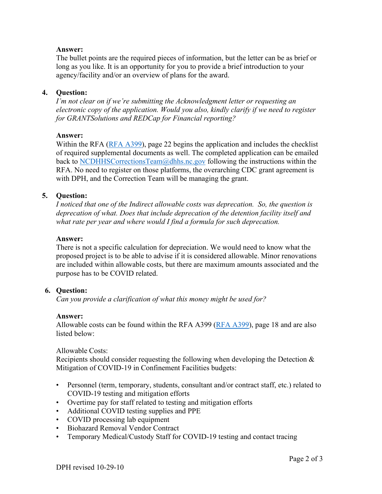# **Answer:**

The bullet points are the required pieces of information, but the letter can be as brief or long as you like. It is an opportunity for you to provide a brief introduction to your agency/facility and/or an overview of plans for the award.

# **4. Question:**

*I'm not clear on if we're submitting the Acknowledgment letter or requesting an electronic copy of the application. Would you also, kindly clarify if we need to register for GRANTSolutions and REDCap for Financial reporting?*

## **Answer:**

Within the RFA [\(RFA A399\)](https://urldefense.com/v3/__https:/www.ncdhhs.gov/media/14637/open__;!!HYmSToo!J5yoJWT6f8r0CTjgTn9FlBQ1EGBRMvs36xwraE_DpWK_DpNIIEV1tc0D1WlkMZJPxQbx9ItQskEG$), page 22 begins the application and includes the checklist of required supplemental documents as well. The completed application can be emailed back to [NCDHHSCorrectionsTeam@dhhs.nc.gov](mailto:NCDHHSCorrectionsTeam@dhhs.nc.gov) following the instructions within the RFA. No need to register on those platforms, the overarching CDC grant agreement is with DPH, and the Correction Team will be managing the grant.

# **5. Question:**

*I noticed that one of the Indirect allowable costs was deprecation. So, the question is deprecation of what. Does that include deprecation of the detention facility itself and what rate per year and where would I find a formula for such deprecation.*

#### **Answer:**

There is not a specific calculation for depreciation. We would need to know what the proposed project is to be able to advise if it is considered allowable. Minor renovations are included within allowable costs, but there are maximum amounts associated and the purpose has to be COVID related.

## **6. Question:**

*Can you provide a clarification of what this money might be used for?*

## **Answer:**

Allowable costs can be found within the RFA A399 ( $RFA$  A399), page 18 and are also listed below:

## Allowable Costs:

Recipients should consider requesting the following when developing the Detection & Mitigation of COVID-19 in Confinement Facilities budgets:

- Personnel (term, temporary, students, consultant and/or contract staff, etc.) related to COVID-19 testing and mitigation efforts
- Overtime pay for staff related to testing and mitigation efforts
- Additional COVID testing supplies and PPE
- COVID processing lab equipment
- Biohazard Removal Vendor Contract
- Temporary Medical/Custody Staff for COVID-19 testing and contact tracing